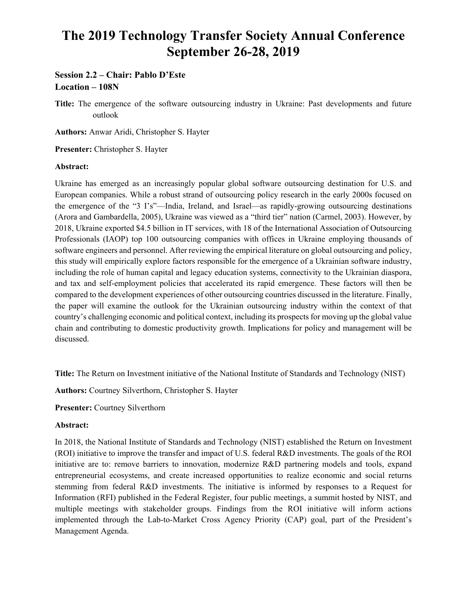# **The 2019 Technology Transfer Society Annual Conference September 26-28, 2019**

# **Session 2.2 – Chair: Pablo D'Este Location – 108N**

**Title:** The emergence of the software outsourcing industry in Ukraine: Past developments and future outlook

**Authors:** Anwar Aridi, Christopher S. Hayter

**Presenter:** Christopher S. Hayter

# **Abstract:**

Ukraine has emerged as an increasingly popular global software outsourcing destination for U.S. and European companies. While a robust strand of outsourcing policy research in the early 2000s focused on the emergence of the "3 I's"—India, Ireland, and Israel—as rapidly-growing outsourcing destinations (Arora and Gambardella, 2005), Ukraine was viewed as a "third tier" nation (Carmel, 2003). However, by 2018, Ukraine exported \$4.5 billion in IT services, with 18 of the International Association of Outsourcing Professionals (IAOP) top 100 outsourcing companies with offices in Ukraine employing thousands of software engineers and personnel. After reviewing the empirical literature on global outsourcing and policy, this study will empirically explore factors responsible for the emergence of a Ukrainian software industry, including the role of human capital and legacy education systems, connectivity to the Ukrainian diaspora, and tax and self-employment policies that accelerated its rapid emergence. These factors will then be compared to the development experiences of other outsourcing countries discussed in the literature. Finally, the paper will examine the outlook for the Ukrainian outsourcing industry within the context of that country's challenging economic and political context, including its prospects for moving up the global value chain and contributing to domestic productivity growth. Implications for policy and management will be discussed.

**Title:** The Return on Investment initiative of the National Institute of Standards and Technology (NIST)

**Authors:** Courtney Silverthorn, Christopher S. Hayter

**Presenter:** Courtney Silverthorn

# **Abstract:**

In 2018, the National Institute of Standards and Technology (NIST) established the Return on Investment (ROI) initiative to improve the transfer and impact of U.S. federal R&D investments. The goals of the ROI initiative are to: remove barriers to innovation, modernize R&D partnering models and tools, expand entrepreneurial ecosystems, and create increased opportunities to realize economic and social returns stemming from federal R&D investments. The initiative is informed by responses to a Request for Information (RFI) published in the Federal Register, four public meetings, a summit hosted by NIST, and multiple meetings with stakeholder groups. Findings from the ROI initiative will inform actions implemented through the Lab-to-Market Cross Agency Priority (CAP) goal, part of the President's Management Agenda.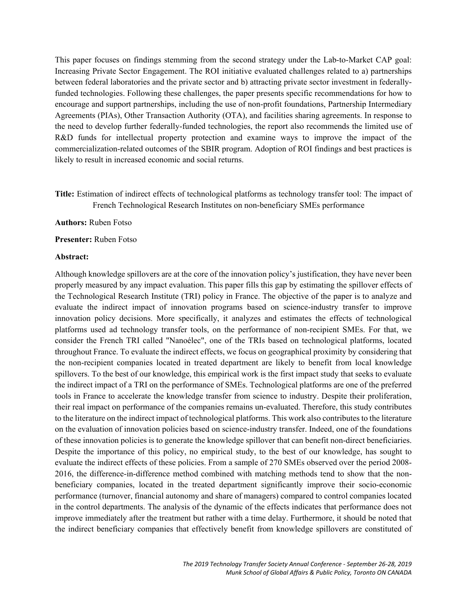This paper focuses on findings stemming from the second strategy under the Lab-to-Market CAP goal: Increasing Private Sector Engagement. The ROI initiative evaluated challenges related to a) partnerships between federal laboratories and the private sector and b) attracting private sector investment in federallyfunded technologies. Following these challenges, the paper presents specific recommendations for how to encourage and support partnerships, including the use of non-profit foundations, Partnership Intermediary Agreements (PIAs), Other Transaction Authority (OTA), and facilities sharing agreements. In response to the need to develop further federally-funded technologies, the report also recommends the limited use of R&D funds for intellectual property protection and examine ways to improve the impact of the commercialization-related outcomes of the SBIR program. Adoption of ROI findings and best practices is likely to result in increased economic and social returns.

**Title:** Estimation of indirect effects of technological platforms as technology transfer tool: The impact of French Technological Research Institutes on non-beneficiary SMEs performance

#### **Authors:** Ruben Fotso

#### **Presenter:** Ruben Fotso

#### **Abstract:**

Although knowledge spillovers are at the core of the innovation policy's justification, they have never been properly measured by any impact evaluation. This paper fills this gap by estimating the spillover effects of the Technological Research Institute (TRI) policy in France. The objective of the paper is to analyze and evaluate the indirect impact of innovation programs based on science-industry transfer to improve innovation policy decisions. More specifically, it analyzes and estimates the effects of technological platforms used ad technology transfer tools, on the performance of non-recipient SMEs. For that, we consider the French TRI called "Nanoélec", one of the TRIs based on technological platforms, located throughout France. To evaluate the indirect effects, we focus on geographical proximity by considering that the non-recipient companies located in treated department are likely to benefit from local knowledge spillovers. To the best of our knowledge, this empirical work is the first impact study that seeks to evaluate the indirect impact of a TRI on the performance of SMEs. Technological platforms are one of the preferred tools in France to accelerate the knowledge transfer from science to industry. Despite their proliferation, their real impact on performance of the companies remains un-evaluated. Therefore, this study contributes to the literature on the indirect impact of technological platforms. This work also contributes to the literature on the evaluation of innovation policies based on science-industry transfer. Indeed, one of the foundations of these innovation policies is to generate the knowledge spillover that can benefit non-direct beneficiaries. Despite the importance of this policy, no empirical study, to the best of our knowledge, has sought to evaluate the indirect effects of these policies. From a sample of 270 SMEs observed over the period 2008- 2016, the difference-in-difference method combined with matching methods tend to show that the nonbeneficiary companies, located in the treated department significantly improve their socio-economic performance (turnover, financial autonomy and share of managers) compared to control companies located in the control departments. The analysis of the dynamic of the effects indicates that performance does not improve immediately after the treatment but rather with a time delay. Furthermore, it should be noted that the indirect beneficiary companies that effectively benefit from knowledge spillovers are constituted of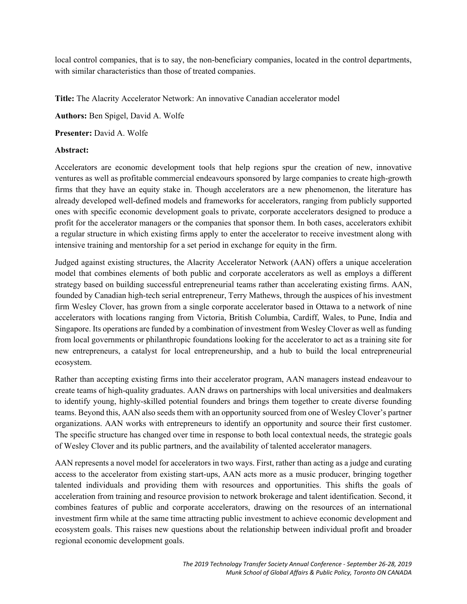local control companies, that is to say, the non-beneficiary companies, located in the control departments, with similar characteristics than those of treated companies.

**Title:** The Alacrity Accelerator Network: An innovative Canadian accelerator model

**Authors:** Ben Spigel, David A. Wolfe

**Presenter:** David A. Wolfe

# **Abstract:**

Accelerators are economic development tools that help regions spur the creation of new, innovative ventures as well as profitable commercial endeavours sponsored by large companies to create high-growth firms that they have an equity stake in. Though accelerators are a new phenomenon, the literature has already developed well-defined models and frameworks for accelerators, ranging from publicly supported ones with specific economic development goals to private, corporate accelerators designed to produce a profit for the accelerator managers or the companies that sponsor them. In both cases, accelerators exhibit a regular structure in which existing firms apply to enter the accelerator to receive investment along with intensive training and mentorship for a set period in exchange for equity in the firm.

Judged against existing structures, the Alacrity Accelerator Network (AAN) offers a unique acceleration model that combines elements of both public and corporate accelerators as well as employs a different strategy based on building successful entrepreneurial teams rather than accelerating existing firms. AAN, founded by Canadian high-tech serial entrepreneur, Terry Mathews, through the auspices of his investment firm Wesley Clover, has grown from a single corporate accelerator based in Ottawa to a network of nine accelerators with locations ranging from Victoria, British Columbia, Cardiff, Wales, to Pune, India and Singapore. Its operations are funded by a combination of investment from Wesley Clover as well as funding from local governments or philanthropic foundations looking for the accelerator to act as a training site for new entrepreneurs, a catalyst for local entrepreneurship, and a hub to build the local entrepreneurial ecosystem.

Rather than accepting existing firms into their accelerator program, AAN managers instead endeavour to create teams of high-quality graduates. AAN draws on partnerships with local universities and dealmakers to identify young, highly-skilled potential founders and brings them together to create diverse founding teams. Beyond this, AAN also seeds them with an opportunity sourced from one of Wesley Clover's partner organizations. AAN works with entrepreneurs to identify an opportunity and source their first customer. The specific structure has changed over time in response to both local contextual needs, the strategic goals of Wesley Clover and its public partners, and the availability of talented accelerator managers.

AAN represents a novel model for accelerators in two ways. First, rather than acting as a judge and curating access to the accelerator from existing start-ups, AAN acts more as a music producer, bringing together talented individuals and providing them with resources and opportunities. This shifts the goals of acceleration from training and resource provision to network brokerage and talent identification. Second, it combines features of public and corporate accelerators, drawing on the resources of an international investment firm while at the same time attracting public investment to achieve economic development and ecosystem goals. This raises new questions about the relationship between individual profit and broader regional economic development goals.